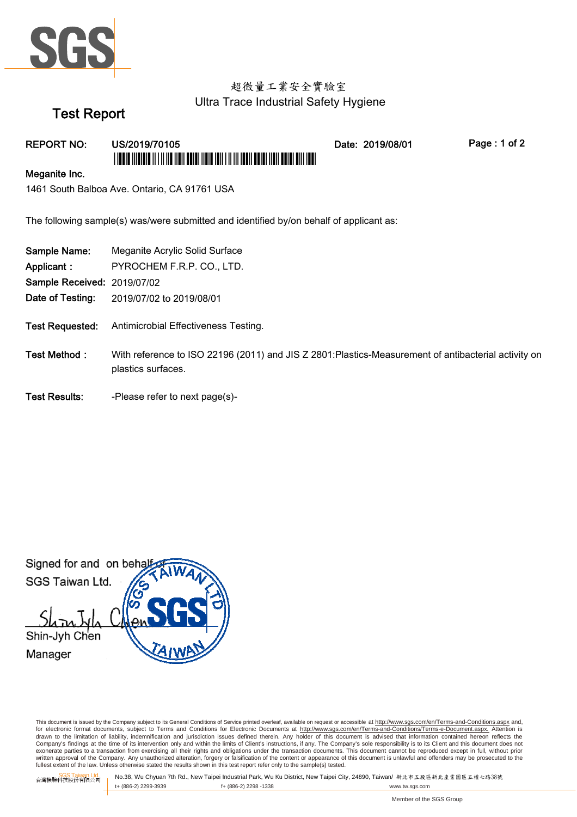

# 超微量工業安全實驗室 Ultra Trace Industrial Safety Hygiene

Date: 2019/08/01

# **Test Report**

## **REPORT NO:**

## US/2019/70105 <u> I TERTE TITELETE IT I II II BITELE TERTE ITELE ERIT I II II BERI BETEL TERTE ERIT IEN DE</u>

Page: 1 of 2

#### Meganite Inc.

1461 South Balboa Ave. Ontario, CA 91761 USA

The following sample(s) was/were submitted and identified by/on behalf of applicant as:

| Sample Name:                       | Meganite Acrylic Solid Surface                                                                                             |
|------------------------------------|----------------------------------------------------------------------------------------------------------------------------|
| Applicant :                        | PYROCHEM F.R.P. CO., LTD.                                                                                                  |
| <b>Sample Received: 2019/07/02</b> |                                                                                                                            |
| Date of Testing:                   | 2019/07/02 to 2019/08/01                                                                                                   |
|                                    |                                                                                                                            |
| <b>Test Requested:</b>             | Antimicrobial Effectiveness Testing.                                                                                       |
|                                    |                                                                                                                            |
| Test Method:                       | With reference to ISO 22196 (2011) and JIS Z 2801: Plastics-Measurement of antibacterial activity on<br>plastics surfaces. |
| <b>Test Results:</b>               | -Please refer to next page(s)-                                                                                             |

Signed for and on beha SGS Taiwan Ltd. Shin-Jyh Chen Manager

This document is issued by the Company subject to its General Conditions of Service printed overleaf, available on request or accessible at http://www.sgs.com/en/Terms-and-Conditions.aspx and, for electronic format documents, subject to Terms and Conditions for Electronic Documents at http://www.sgs.com/en/Terms-and-Conditions/Terms-e-Document.aspx. Attention is or exponential contract over the limit of contract of the limits of Client's instructions, if any. The Company's sole responsibility is to its Client and this document to a divised that information contained hereon reflect exonerate parties to a transaction from exercising all their rights and obligations under the transaction documents. This document cannot be reproduced except in full, without prior written approval of the Company. Any unauthorized alteration, forgery or falsification of the content or appearance of this document is unlawful and offenders may be prosecuted to the fullest extent of the law. Unless othe

SGS Taiwan Ltd.<br>台灣檢驗科技股份有限公司

No.38, Wu Chyuan 7th Rd., New Taipei Industrial Park, Wu Ku District, New Taipei City, 24890, Taiwan/ 新北市五股區新北產業園區五權七路38號 t+ (886-2) 2299-3939 f+ (886-2) 2298 -1338 www.tw.sgs.com